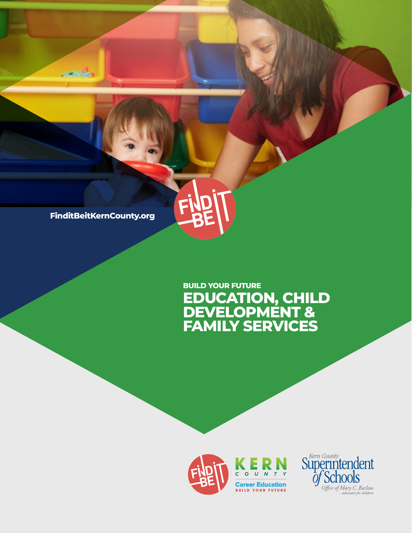

فاقت

# **EDUCATION, CHILD DEVELOPMENT & FAMILY SERVICES BUILD YOUR FUTURE**